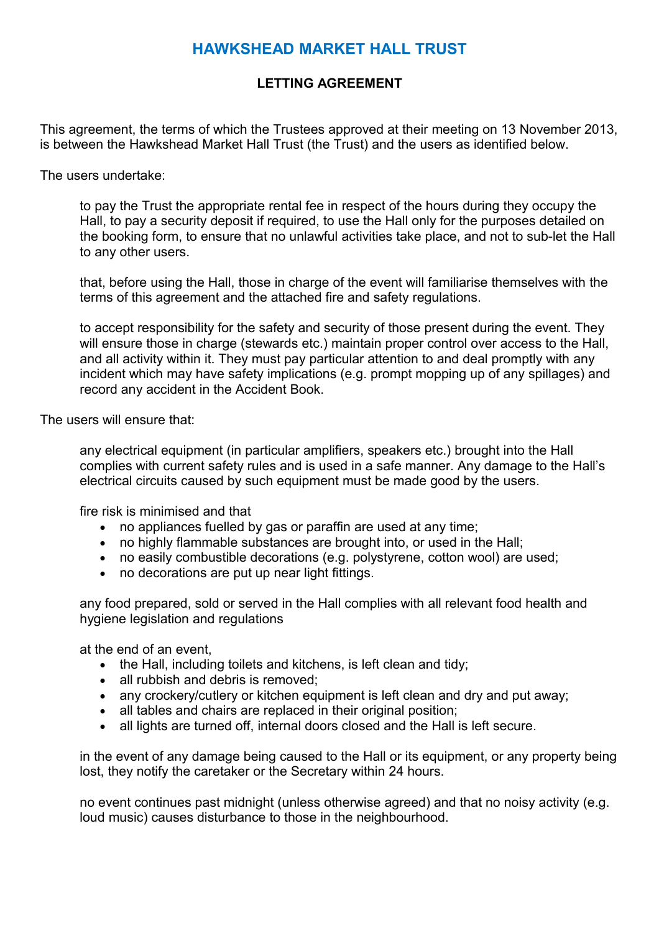# **HAWKSHEAD MARKET HALL TRUST**

# **LETTING AGREEMENT**

This agreement, the terms of which the Trustees approved at their meeting on 13 November 2013, is between the Hawkshead Market Hall Trust (the Trust) and the users as identified below.

The users undertake:

to pay the Trust the appropriate rental fee in respect of the hours during they occupy the Hall, to pay a security deposit if required, to use the Hall only for the purposes detailed on the booking form, to ensure that no unlawful activities take place, and not to sub-let the Hall to any other users.

that, before using the Hall, those in charge of the event will familiarise themselves with the terms of this agreement and the attached fire and safety regulations.

to accept responsibility for the safety and security of those present during the event. They will ensure those in charge (stewards etc.) maintain proper control over access to the Hall, and all activity within it. They must pay particular attention to and deal promptly with any incident which may have safety implications (e.g. prompt mopping up of any spillages) and record any accident in the Accident Book.

The users will ensure that:

any electrical equipment (in particular amplifiers, speakers etc.) brought into the Hall complies with current safety rules and is used in a safe manner. Any damage to the Hall's electrical circuits caused by such equipment must be made good by the users.

fire risk is minimised and that

- no appliances fuelled by gas or paraffin are used at any time;
- no highly flammable substances are brought into, or used in the Hall;
- no easily combustible decorations (e.g. polystyrene, cotton wool) are used;
- no decorations are put up near light fittings.

any food prepared, sold or served in the Hall complies with all relevant food health and hygiene legislation and regulations

at the end of an event,

- the Hall, including toilets and kitchens, is left clean and tidy;
- all rubbish and debris is removed;
- any crockery/cutlery or kitchen equipment is left clean and dry and put away;
- all tables and chairs are replaced in their original position:
- all lights are turned off, internal doors closed and the Hall is left secure.

in the event of any damage being caused to the Hall or its equipment, or any property being lost, they notify the caretaker or the Secretary within 24 hours.

no event continues past midnight (unless otherwise agreed) and that no noisy activity (e.g. loud music) causes disturbance to those in the neighbourhood.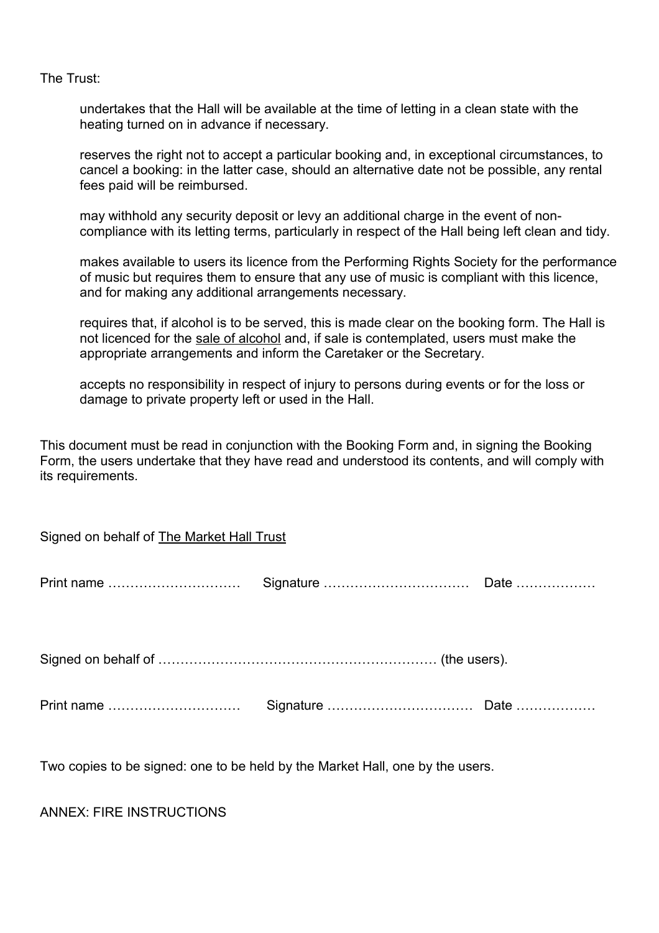The Trust:

undertakes that the Hall will be available at the time of letting in a clean state with the heating turned on in advance if necessary.

reserves the right not to accept a particular booking and, in exceptional circumstances, to cancel a booking: in the latter case, should an alternative date not be possible, any rental fees paid will be reimbursed.

may withhold any security deposit or levy an additional charge in the event of noncompliance with its letting terms, particularly in respect of the Hall being left clean and tidy.

makes available to users its licence from the Performing Rights Society for the performance of music but requires them to ensure that any use of music is compliant with this licence, and for making any additional arrangements necessary.

requires that, if alcohol is to be served, this is made clear on the booking form. The Hall is not licenced for the sale of alcohol and, if sale is contemplated, users must make the appropriate arrangements and inform the Caretaker or the Secretary.

accepts no responsibility in respect of injury to persons during events or for the loss or damage to private property left or used in the Hall.

This document must be read in conjunction with the Booking Form and, in signing the Booking Form, the users undertake that they have read and understood its contents, and will comply with its requirements.

| Signed on behalf of The Market Hall Trust |  |  |
|-------------------------------------------|--|--|
|                                           |  |  |
|                                           |  |  |
|                                           |  |  |

Two copies to be signed: one to be held by the Market Hall, one by the users.

ANNEX: FIRE INSTRUCTIONS